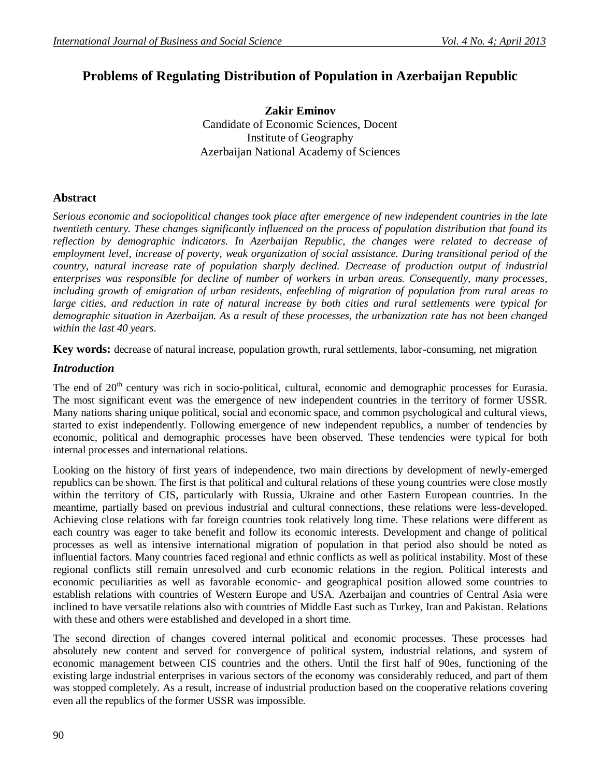# **Problems of Regulating Distribution of Population in Azerbaijan Republic**

**Zakir Eminov** Candidate of Economic Sciences, Docent Institute of Geography Azerbaijan National Academy of Sciences

## **Abstract**

*Serious economic and sociopolitical changes took place after emergence of new independent countries in the late twentieth century. These changes significantly influenced on the process of population distribution that found its reflection by demographic indicators. In Azerbaijan Republic, the changes were related to decrease of employment level, increase of poverty, weak organization of social assistance. During transitional period of the country, natural increase rate of population sharply declined. Decrease of production output of industrial enterprises was responsible for decline of number of workers in urban areas. Consequently, many processes, including growth of emigration of urban residents, enfeebling of migration of population from rural areas to large cities, and reduction in rate of natural increase by both cities and rural settlements were typical for demographic situation in Azerbaijan. As a result of these processes, the urbanization rate has not been changed within the last 40 years.* 

**Key words:** decrease of natural increase, population growth, rural settlements, labor-consuming, net migration

#### *Introduction*

The end of 20<sup>th</sup> century was rich in socio-political, cultural, economic and demographic processes for Eurasia. The most significant event was the emergence of new independent countries in the territory of former USSR. Many nations sharing unique political, social and economic space, and common psychological and cultural views, started to exist independently. Following emergence of new independent republics, a number of tendencies by economic, political and demographic processes have been observed. These tendencies were typical for both internal processes and international relations.

Looking on the history of first years of independence, two main directions by development of newly-emerged republics can be shown. The first is that political and cultural relations of these young countries were close mostly within the territory of CIS, particularly with Russia, Ukraine and other Eastern European countries. In the meantime, partially based on previous industrial and cultural connections, these relations were less-developed. Achieving close relations with far foreign countries took relatively long time. These relations were different as each country was eager to take benefit and follow its economic interests. Development and change of political processes as well as intensive international migration of population in that period also should be noted as influential factors. Many countries faced regional and ethnic conflicts as well as political instability. Most of these regional conflicts still remain unresolved and curb economic relations in the region. Political interests and economic peculiarities as well as favorable economic- and geographical position allowed some countries to establish relations with countries of Western Europe and USA. Azerbaijan and countries of Central Asia were inclined to have versatile relations also with countries of Middle East such as Turkey, Iran and Pakistan. Relations with these and others were established and developed in a short time.

The second direction of changes covered internal political and economic processes. These processes had absolutely new content and served for convergence of political system, industrial relations, and system of economic management between CIS countries and the others. Until the first half of 90es, functioning of the existing large industrial enterprises in various sectors of the economy was considerably reduced, and part of them was stopped completely. As a result, increase of industrial production based on the cooperative relations covering even all the republics of the former USSR was impossible.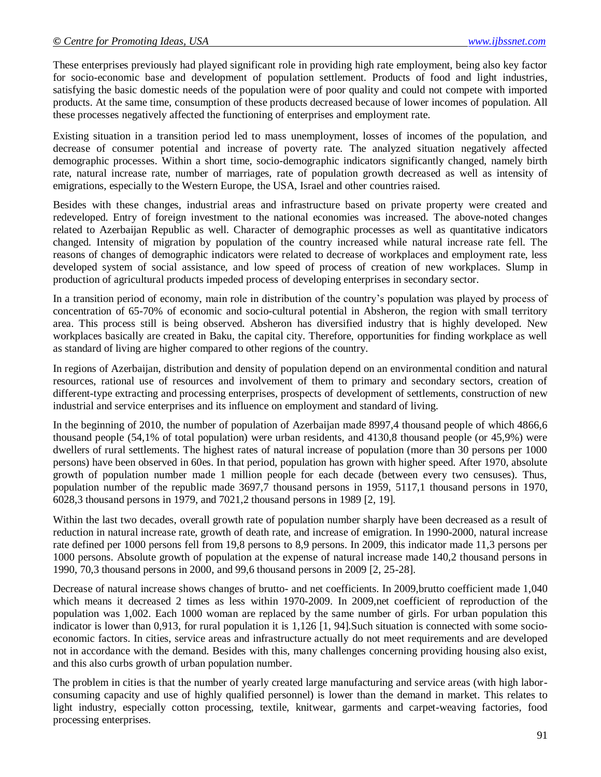These enterprises previously had played significant role in providing high rate employment, being also key factor for socio-economic base and development of population settlement. Products of food and light industries, satisfying the basic domestic needs of the population were of poor quality and could not compete with imported products. At the same time, consumption of these products decreased because of lower incomes of population. All these processes negatively affected the functioning of enterprises and employment rate.

Existing situation in a transition period led to mass unemployment, losses of incomes of the population, and decrease of consumer potential and increase of poverty rate. The analyzed situation negatively affected demographic processes. Within a short time, socio-demographic indicators significantly changed, namely birth rate, natural increase rate, number of marriages, rate of population growth decreased as well as intensity of emigrations, especially to the Western Europe, the USA, Israel and other countries raised.

Besides with these changes, industrial areas and infrastructure based on private property were created and redeveloped. Entry of foreign investment to the national economies was increased. The above-noted changes related to Azerbaijan Republic as well. Character of demographic processes as well as quantitative indicators changed. Intensity of migration by population of the country increased while natural increase rate fell. The reasons of changes of demographic indicators were related to decrease of workplaces and employment rate, less developed system of social assistance, and low speed of process of creation of new workplaces. Slump in production of agricultural products impeded process of developing enterprises in secondary sector.

In a transition period of economy, main role in distribution of the country's population was played by process of concentration of 65-70% of economic and socio-cultural potential in Absheron, the region with small territory area. This process still is being observed. Absheron has diversified industry that is highly developed. New workplaces basically are created in Baku, the capital city. Therefore, opportunities for finding workplace as well as standard of living are higher compared to other regions of the country.

In regions of Azerbaijan, distribution and density of population depend on an environmental condition and natural resources, rational use of resources and involvement of them to primary and secondary sectors, creation of different-type extracting and processing enterprises, prospects of development of settlements, construction of new industrial and service enterprises and its influence on employment and standard of living.

In the beginning of 2010, the number of population of Azerbaijan made 8997,4 thousand people of which 4866,6 thousand people (54,1% of total population) were urban residents, and 4130,8 thousand people (or 45,9%) were dwellers of rural settlements. The highest rates of natural increase of population (more than 30 persons per 1000 persons) have been observed in 60es. In that period, population has grown with higher speed. After 1970, absolute growth of population number made 1 million people for each decade (between every two censuses). Thus, population number of the republic made 3697,7 thousand persons in 1959, 5117,1 thousand persons in 1970, 6028,3 thousand persons in 1979, and 7021,2 thousand persons in 1989 [2, 19].

Within the last two decades, overall growth rate of population number sharply have been decreased as a result of reduction in natural increase rate, growth of death rate, and increase of emigration. In 1990-2000, natural increase rate defined per 1000 persons fell from 19,8 persons to 8,9 persons. In 2009, this indicator made 11,3 persons per 1000 persons. Absolute growth of population at the expense of natural increase made 140,2 thousand persons in 1990, 70,3 thousand persons in 2000, and 99,6 thousand persons in 2009 [2, 25-28].

Decrease of natural increase shows changes of brutto- and net coefficients. In 2009,brutto coefficient made 1,040 which means it decreased 2 times as less within 1970-2009. In 2009, net coefficient of reproduction of the population was 1,002. Each 1000 woman are replaced by the same number of girls. For urban population this indicator is lower than 0,913, for rural population it is 1,126 [1, 94].Such situation is connected with some socioeconomic factors. In cities, service areas and infrastructure actually do not meet requirements and are developed not in accordance with the demand. Besides with this, many challenges concerning providing housing also exist, and this also curbs growth of urban population number.

The problem in cities is that the number of yearly created large manufacturing and service areas (with high laborconsuming capacity and use of highly qualified personnel) is lower than the demand in market. This relates to light industry, especially cotton processing, textile, knitwear, garments and carpet-weaving factories, food processing enterprises.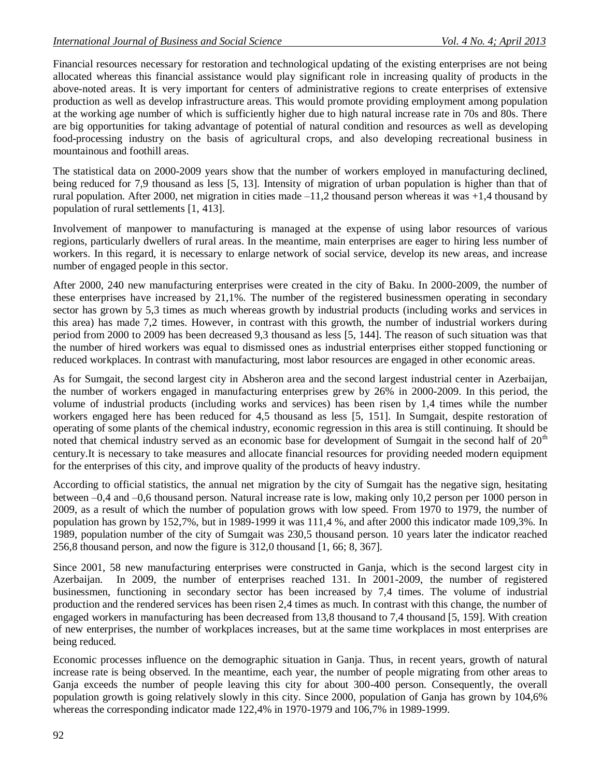Financial resources necessary for restoration and technological updating of the existing enterprises are not being allocated whereas this financial assistance would play significant role in increasing quality of products in the above-noted areas. It is very important for centers of administrative regions to create enterprises of extensive production as well as develop infrastructure areas. This would promote providing employment among population at the working age number of which is sufficiently higher due to high natural increase rate in 70s and 80s. There are big opportunities for taking advantage of potential of natural condition and resources as well as developing food-processing industry on the basis of agricultural crops, and also developing recreational business in mountainous and foothill areas.

The statistical data on 2000-2009 years show that the number of workers employed in manufacturing declined, being reduced for 7,9 thousand as less [5, 13]. Intensity of migration of urban population is higher than that of rural population. After 2000, net migration in cities made  $-11.2$  thousand person whereas it was  $+1.4$  thousand by population of rural settlements [1, 413].

Involvement of manpower to manufacturing is managed at the expense of using labor resources of various regions, particularly dwellers of rural areas. In the meantime, main enterprises are eager to hiring less number of workers. In this regard, it is necessary to enlarge network of social service, develop its new areas, and increase number of engaged people in this sector.

After 2000, 240 new manufacturing enterprises were created in the city of Baku. In 2000-2009, the number of these enterprises have increased by 21,1%. The number of the registered businessmen operating in secondary sector has grown by 5,3 times as much whereas growth by industrial products (including works and services in this area) has made 7,2 times. However, in contrast with this growth, the number of industrial workers during period from 2000 to 2009 has been decreased 9,3 thousand as less [5, 144]. The reason of such situation was that the number of hired workers was equal to dismissed ones as industrial enterprises either stopped functioning or reduced workplaces. In contrast with manufacturing, most labor resources are engaged in other economic areas.

As for Sumgait, the second largest city in Absheron area and the second largest industrial center in Azerbaijan, the number of workers engaged in manufacturing enterprises grew by 26% in 2000-2009. In this period, the volume of industrial products (including works and services) has been risen by 1,4 times while the number workers engaged here has been reduced for 4,5 thousand as less [5, 151]. In Sumgait, despite restoration of operating of some plants of the chemical industry, economic regression in this area is still continuing. It should be noted that chemical industry served as an economic base for development of Sumgait in the second half of  $20<sup>th</sup>$ century.It is necessary to take measures and allocate financial resources for providing needed modern equipment for the enterprises of this city, and improve quality of the products of heavy industry.

According to official statistics, the annual net migration by the city of Sumgait has the negative sign, hesitating between –0,4 and –0,6 thousand person. Natural increase rate is low, making only 10,2 person per 1000 person in 2009, as a result of which the number of population grows with low speed. From 1970 to 1979, the number of population has grown by 152,7%, but in 1989-1999 it was 111,4 %, and after 2000 this indicator made 109,3%. In 1989, population number of the city of Sumgait was 230,5 thousand person. 10 years later the indicator reached 256,8 thousand person, and now the figure is 312,0 thousand [1, 66; 8, 367].

Since 2001, 58 new manufacturing enterprises were constructed in Ganja, which is the second largest city in Azerbaijan. In 2009, the number of enterprises reached 131. In 2001-2009, the number of registered businessmen, functioning in secondary sector has been increased by 7,4 times. The volume of industrial production and the rendered services has been risen 2,4 times as much. In contrast with this change, the number of engaged workers in manufacturing has been decreased from 13,8 thousand to 7,4 thousand [5, 159]. With creation of new enterprises, the number of workplaces increases, but at the same time workplaces in most enterprises are being reduced.

Economic processes influence on the demographic situation in Ganja. Thus, in recent years, growth of natural increase rate is being observed. In the meantime, each year, the number of people migrating from other areas to Ganja exceeds the number of people leaving this city for about 300-400 person. Consequently, the overall population growth is going relatively slowly in this city. Since 2000, population of Ganja has grown by 104,6% whereas the corresponding indicator made 122,4% in 1970-1979 and 106,7% in 1989-1999.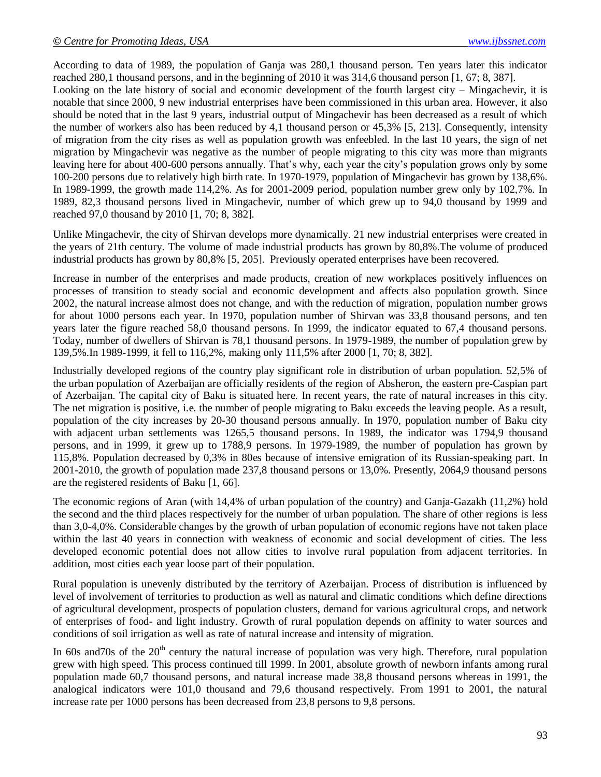According to data of 1989, the population of Ganja was 280,1 thousand person. Ten years later this indicator reached 280,1 thousand persons, and in the beginning of 2010 it was 314,6 thousand person [1, 67; 8, 387].

Looking on the late history of social and economic development of the fourth largest city – Mingachevir, it is notable that since 2000, 9 new industrial enterprises have been commissioned in this urban area. However, it also should be noted that in the last 9 years, industrial output of Mingachevir has been decreased as a result of which the number of workers also has been reduced by 4,1 thousand person or 45,3% [5, 213]. Consequently, intensity of migration from the city rises as well as population growth was enfeebled. In the last 10 years, the sign of net migration by Mingachevir was negative as the number of people migrating to this city was more than migrants leaving here for about 400-600 persons annually. That's why, each year the city's population grows only by some 100-200 persons due to relatively high birth rate. In 1970-1979, population of Mingachevir has grown by 138,6%. In 1989-1999, the growth made 114,2%. As for 2001-2009 period, population number grew only by 102,7%. In 1989, 82,3 thousand persons lived in Mingachevir, number of which grew up to 94,0 thousand by 1999 and reached 97,0 thousand by 2010 [1, 70; 8, 382].

Unlike Mingachevir, the city of Shirvan develops more dynamically. 21 new industrial enterprises were created in the years of 21th century. The volume of made industrial products has grown by 80,8%.The volume of produced industrial products has grown by 80,8% [5, 205]. Previously operated enterprises have been recovered.

Increase in number of the enterprises and made products, creation of new workplaces positively influences on processes of transition to steady social and economic development and affects also population growth. Since 2002, the natural increase almost does not change, and with the reduction of migration, population number grows for about 1000 persons each year. In 1970, population number of Shirvan was 33,8 thousand persons, and ten years later the figure reached 58,0 thousand persons. In 1999, the indicator equated to 67,4 thousand persons. Today, number of dwellers of Shirvan is 78,1 thousand persons. In 1979-1989, the number of population grew by 139,5%.In 1989-1999, it fell to 116,2%, making only 111,5% after 2000 [1, 70; 8, 382].

Industrially developed regions of the country play significant role in distribution of urban population. 52,5% of the urban population of Azerbaijan are officially residents of the region of Absheron, the eastern pre-Caspian part of Azerbaijan. The capital city of Baku is situated here. In recent years, the rate of natural increases in this city. The net migration is positive, i.e. the number of people migrating to Baku exceeds the leaving people. As a result, population of the city increases by 20-30 thousand persons annually. In 1970, population number of Baku city with adjacent urban settlements was 1265,5 thousand persons. In 1989, the indicator was 1794,9 thousand persons, and in 1999, it grew up to 1788,9 persons. In 1979-1989, the number of population has grown by 115,8%. Population decreased by 0,3% in 80es because of intensive emigration of its Russian-speaking part. In 2001-2010, the growth of population made 237,8 thousand persons or 13,0%. Presently, 2064,9 thousand persons are the registered residents of Baku [1, 66].

The economic regions of Aran (with 14,4% of urban population of the country) and Ganja-Gazakh (11,2%) hold the second and the third places respectively for the number of urban population. The share of other regions is less than 3,0-4,0%. Considerable changes by the growth of urban population of economic regions have not taken place within the last 40 years in connection with weakness of economic and social development of cities. The less developed economic potential does not allow cities to involve rural population from adjacent territories. In addition, most cities each year loose part of their population.

Rural population is unevenly distributed by the territory of Azerbaijan. Process of distribution is influenced by level of involvement of territories to production as well as natural and climatic conditions which define directions of agricultural development, prospects of population clusters, demand for various agricultural crops, and network of enterprises of food- and light industry. Growth of rural population depends on affinity to water sources and conditions of soil irrigation as well as rate of natural increase and intensity of migration.

In 60s and 70s of the  $20<sup>th</sup>$  century the natural increase of population was very high. Therefore, rural population grew with high speed. This process continued till 1999. In 2001, absolute growth of newborn infants among rural population made 60,7 thousand persons, and natural increase made 38,8 thousand persons whereas in 1991, the analogical indicators were 101,0 thousand and 79,6 thousand respectively. From 1991 to 2001, the natural increase rate per 1000 persons has been decreased from 23,8 persons to 9,8 persons.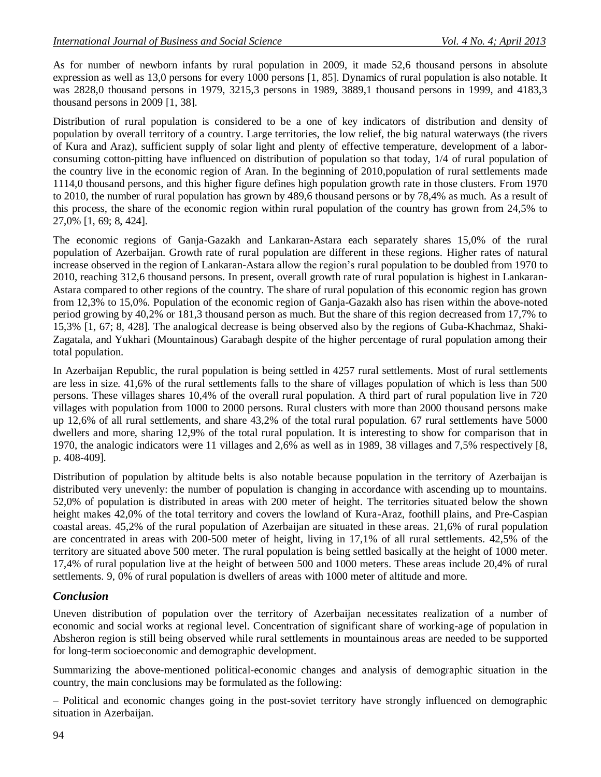As for number of newborn infants by rural population in 2009, it made 52,6 thousand persons in absolute expression as well as 13,0 persons for every 1000 persons [1, 85]. Dynamics of rural population is also notable. It was 2828,0 thousand persons in 1979, 3215,3 persons in 1989, 3889,1 thousand persons in 1999, and 4183,3 thousand persons in 2009 [1, 38].

Distribution of rural population is considered to be a one of key indicators of distribution and density of population by overall territory of a country. Large territories, the low relief, the big natural waterways (the rivers of Kura and Araz), sufficient supply of solar light and plenty of effective temperature, development of a laborconsuming cotton-pitting have influenced on distribution of population so that today, 1/4 of rural population of the country live in the economic region of Aran. In the beginning of 2010,population of rural settlements made 1114,0 thousand persons, and this higher figure defines high population growth rate in those clusters. From 1970 to 2010, the number of rural population has grown by 489,6 thousand persons or by 78,4% as much. As a result of this process, the share of the economic region within rural population of the country has grown from 24,5% to 27,0% [1, 69; 8, 424].

The economic regions of Ganja-Gazakh and Lankaran-Astara each separately shares 15,0% of the rural population of Azerbaijan. Growth rate of rural population are different in these regions. Higher rates of natural increase observed in the region of Lankaran-Astara allow the region's rural population to be doubled from 1970 to 2010, reaching 312,6 thousand persons. In present, overall growth rate of rural population is highest in Lankaran-Astara compared to other regions of the country. The share of rural population of this economic region has grown from 12,3% to 15,0%. Population of the economic region of Ganja-Gazakh also has risen within the above-noted period growing by 40,2% or 181,3 thousand person as much. But the share of this region decreased from 17,7% to 15,3% [1, 67; 8, 428]. The analogical decrease is being observed also by the regions of Guba-Khachmaz, Shaki-Zagatala, and Yukhari (Mountainous) Garabagh despite of the higher percentage of rural population among their total population.

In Azerbaijan Republic, the rural population is being settled in 4257 rural settlements. Most of rural settlements are less in size. 41,6% of the rural settlements falls to the share of villages population of which is less than 500 persons. These villages shares 10,4% of the overall rural population. A third part of rural population live in 720 villages with population from 1000 to 2000 persons. Rural clusters with more than 2000 thousand persons make up 12,6% of all rural settlements, and share 43,2% of the total rural population. 67 rural settlements have 5000 dwellers and more, sharing 12,9% of the total rural population. It is interesting to show for comparison that in 1970, the analogic indicators were 11 villages and 2,6% as well as in 1989, 38 villages and 7,5% respectively [8, p. 408-409].

Distribution of population by altitude belts is also notable because population in the territory of Azerbaijan is distributed very unevenly: the number of population is changing in accordance with ascending up to mountains. 52,0% of population is distributed in areas with 200 meter of height. The territories situated below the shown height makes 42,0% of the total territory and covers the lowland of Kura-Araz, foothill plains, and Pre-Caspian coastal areas. 45,2% of the rural population of Azerbaijan are situated in these areas. 21,6% of rural population are concentrated in areas with 200-500 meter of height, living in 17,1% of all rural settlements. 42,5% of the territory are situated above 500 meter. The rural population is being settled basically at the height of 1000 meter. 17,4% of rural population live at the height of between 500 and 1000 meters. These areas include 20,4% of rural settlements. 9, 0% of rural population is dwellers of areas with 1000 meter of altitude and more.

#### *Conclusion*

Uneven distribution of population over the territory of Azerbaijan necessitates realization of a number of economic and social works at regional level. Concentration of significant share of working-age of population in Absheron region is still being observed while rural settlements in mountainous areas are needed to be supported for long-term socioeconomic and demographic development.

Summarizing the above-mentioned political-economic changes and analysis of demographic situation in the country, the main conclusions may be formulated as the following:

– Political and economic changes going in the post-soviet territory have strongly influenced on demographic situation in Azerbaijan.